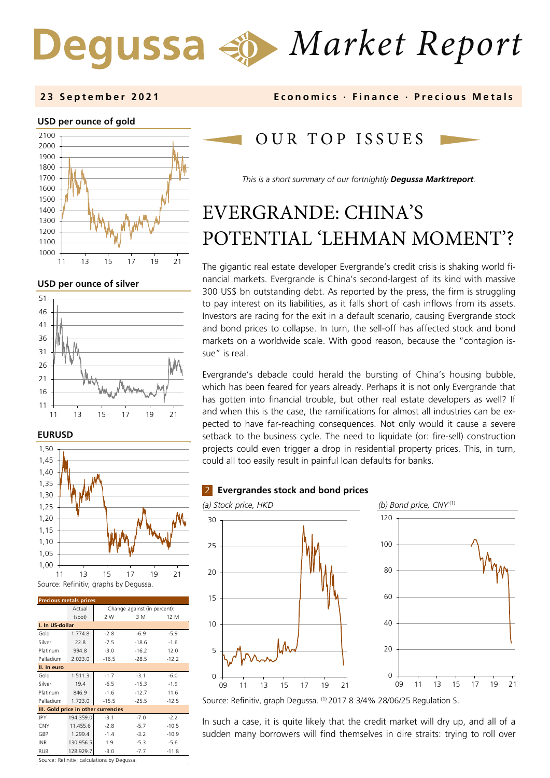# *Market Report*

**2 3 September 202 1 Economics · Finance · Precious M etals**

## **USD per ounce of gold**



**USD per ounce of silver** 



#### **EURUSD**



| <b>Precious metals prices</b>       |           |                              |         |         |  |
|-------------------------------------|-----------|------------------------------|---------|---------|--|
|                                     | Actual    | Change against (in percent): |         |         |  |
|                                     | (spot)    | 2 W                          | 3 M     | 12 M    |  |
| I. In US-dollar                     |           |                              |         |         |  |
| Gold                                | 1.774.8   | $-2.8$                       | $-6.9$  | $-5.9$  |  |
| Silver                              | 22.8      | $-7.5$                       | $-18.6$ | $-1.6$  |  |
| Platinum                            | 994.8     | $-3.0$                       | $-16.2$ | 12.0    |  |
| Palladium                           | 2.023.0   | $-16.5$                      | $-28.5$ | $-12.2$ |  |
| II. In euro                         |           |                              |         |         |  |
| Gold                                | 1.511.3   | $-1.7$                       | $-3.1$  | $-6.0$  |  |
| Silver                              | 19.4      | $-6.5$                       | $-15.3$ | $-1.9$  |  |
| Platinum                            | 846.9     | $-1.6$                       | $-12.7$ | 11.6    |  |
| Palladium                           | 1.723.0   | $-15.5$                      | $-25.5$ | $-12.5$ |  |
| III. Gold price in other currencies |           |                              |         |         |  |
| JPY                                 | 194.359.0 | $-3.1$                       | $-7.0$  | $-2.2$  |  |
| CNY                                 | 11.455.6  | $-2.8$                       | $-5.7$  | $-10.5$ |  |
| GBP                                 | 1.299.4   | $-1.4$                       | $-3.2$  | $-10.9$ |  |
| <b>INR</b>                          | 130.956.5 | 1.9                          | $-5.3$  | $-5.6$  |  |
| <b>RUB</b>                          | 128.929.7 | $-3.0$                       | $-7.7$  | $-11.8$ |  |

OUR TOP ISSUE S

*This is a short summary of our fortnightly Degussa Marktreport.*

## EVERGRANDE: CHINA'S POTENTIAL 'LEHMAN MOMENT'?

The gigantic real estate developer Evergrande's credit crisis is shaking world financial markets. Evergrande is China's second-largest of its kind with massive 300 US\$ bn outstanding debt. As reported by the press, the firm is struggling to pay interest on its liabilities, as it falls short of cash inflows from its assets. Investors are racing for the exit in a default scenario, causing Evergrande stock and bond prices to collapse. In turn, the sell-off has affected stock and bond markets on a worldwide scale. With good reason, because the "contagion issue" is real.

Evergrande's debacle could herald the bursting of China's housing bubble, which has been feared for years already. Perhaps it is not only Evergrande that has gotten into financial trouble, but other real estate developers as well? If and when this is the case, the ramifications for almost all industries can be expected to have far-reaching consequences. Not only would it cause a severe setback to the business cycle. The need to liquidate (or: fire-sell) construction projects could even trigger a drop in residential property prices. This, in turn, could all too easily result in painful loan defaults for banks.





Source: Refinitiv, graph Degussa. (1) 2017 8 3/4% 28/06/25 Regulation S.

In such a case, it is quite likely that the credit market will dry up, and all of a sudden many borrowers will find themselves in dire straits: trying to roll over

Source: Refinitiv; calculations by Degussa.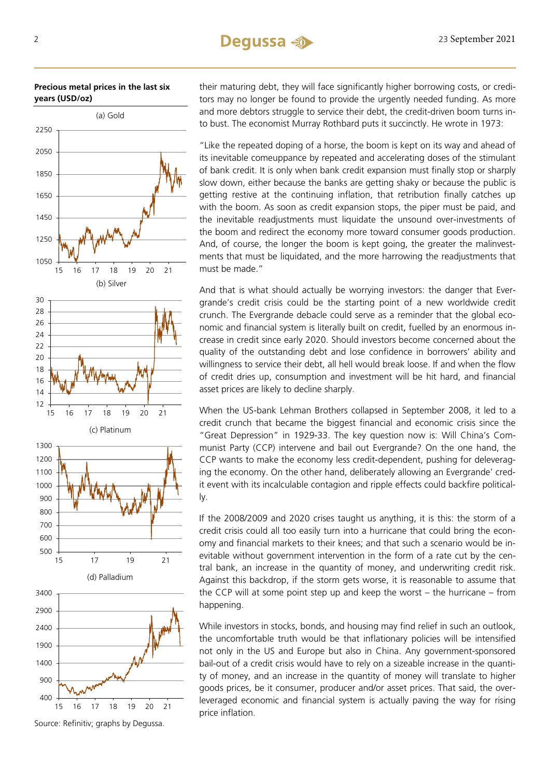**Precious metal prices in the last six years (USD/oz)** 



Source: Refinitiv; graphs by Degussa.

their maturing debt, they will face significantly higher borrowing costs, or creditors may no longer be found to provide the urgently needed funding. As more and more debtors struggle to service their debt, the credit-driven boom turns into bust. The economist Murray Rothbard puts it succinctly. He wrote in 1973:

"Like the repeated doping of a horse, the boom is kept on its way and ahead of its inevitable comeuppance by repeated and accelerating doses of the stimulant of bank credit. It is only when bank credit expansion must finally stop or sharply slow down, either because the banks are getting shaky or because the public is getting restive at the continuing inflation, that retribution finally catches up with the boom. As soon as credit expansion stops, the piper must be paid, and the inevitable readjustments must liquidate the unsound over-investments of the boom and redirect the economy more toward consumer goods production. And, of course, the longer the boom is kept going, the greater the malinvestments that must be liquidated, and the more harrowing the readjustments that must be made."

And that is what should actually be worrying investors: the danger that Evergrande's credit crisis could be the starting point of a new worldwide credit crunch. The Evergrande debacle could serve as a reminder that the global economic and financial system is literally built on credit, fuelled by an enormous increase in credit since early 2020. Should investors become concerned about the quality of the outstanding debt and lose confidence in borrowers' ability and willingness to service their debt, all hell would break loose. If and when the flow of credit dries up, consumption and investment will be hit hard, and financial asset prices are likely to decline sharply.

When the US-bank Lehman Brothers collapsed in September 2008, it led to a credit crunch that became the biggest financial and economic crisis since the "Great Depression" in 1929-33. The key question now is: Will China's Communist Party (CCP) intervene and bail out Evergrande? On the one hand, the CCP wants to make the economy less credit-dependent, pushing for deleveraging the economy. On the other hand, deliberately allowing an Evergrande' credit event with its incalculable contagion and ripple effects could backfire politically.

If the 2008/2009 and 2020 crises taught us anything, it is this: the storm of a credit crisis could all too easily turn into a hurricane that could bring the economy and financial markets to their knees; and that such a scenario would be inevitable without government intervention in the form of a rate cut by the central bank, an increase in the quantity of money, and underwriting credit risk. Against this backdrop, if the storm gets worse, it is reasonable to assume that the CCP will at some point step up and keep the worst – the hurricane – from happening.

While investors in stocks, bonds, and housing may find relief in such an outlook, the uncomfortable truth would be that inflationary policies will be intensified not only in the US and Europe but also in China. Any government-sponsored bail-out of a credit crisis would have to rely on a sizeable increase in the quantity of money, and an increase in the quantity of money will translate to higher goods prices, be it consumer, producer and/or asset prices. That said, the overleveraged economic and financial system is actually paving the way for rising price inflation.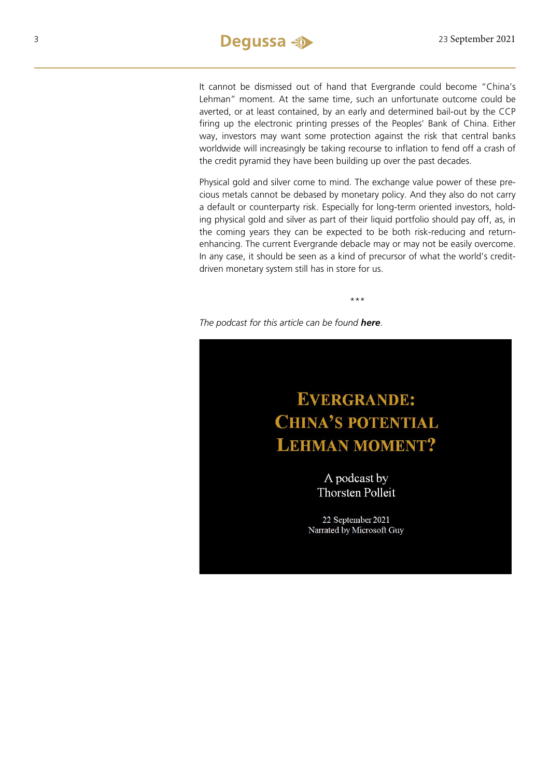It cannot be dismissed out of hand that Evergrande could become "China's Lehman" moment. At the same time, such an unfortunate outcome could be averted, or at least contained, by an early and determined bail-out by the CCP firing up the electronic printing presses of the Peoples' Bank of China. Either way, investors may want some protection against the risk that central banks worldwide will increasingly be taking recourse to inflation to fend off a crash of the credit pyramid they have been building up over the past decades.

Physical gold and silver come to mind. The exchange value power of these precious metals cannot be debased by monetary policy. And they also do not carry a default or counterparty risk. Especially for long-term oriented investors, holding physical gold and silver as part of their liquid portfolio should pay off, as, in the coming years they can be expected to be both risk-reducing and returnenhancing. The current Evergrande debacle may or may not be easily overcome. In any case, it should be seen as a kind of precursor of what the world's creditdriven monetary system still has in store for us.

\*\*\*

*The podcast for this article can be found [here](https://soundcloud.com/user-889325874/evergrande-chinas-potential-lehman-moment).*

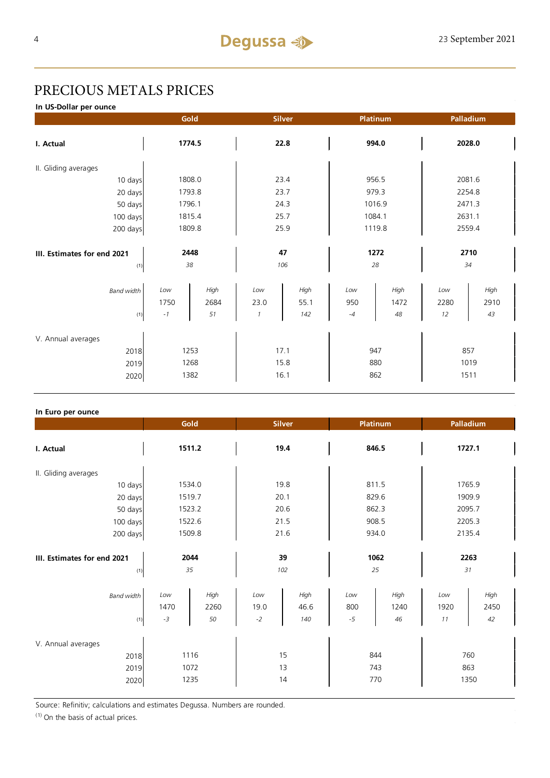## PRECIOUS METALS PRICES

**In US-Dollar per ounce**

|                             |        | Gold   |               | <b>Silver</b> |        | Platinum |        | Palladium |  |
|-----------------------------|--------|--------|---------------|---------------|--------|----------|--------|-----------|--|
| I. Actual                   | 1774.5 |        | 22.8          |               | 994.0  |          | 2028.0 |           |  |
| II. Gliding averages        |        |        |               |               |        |          |        |           |  |
| 10 days                     |        | 1808.0 |               | 23.4          |        | 956.5    |        | 2081.6    |  |
| 20 days                     |        | 1793.8 |               | 23.7          |        | 979.3    |        | 2254.8    |  |
| 50 days                     |        | 1796.1 |               | 24.3          |        | 1016.9   |        | 2471.3    |  |
| 100 days                    |        | 1815.4 |               | 25.7          |        | 1084.1   |        | 2631.1    |  |
| 200 days                    | 1809.8 |        | 25.9          |               | 1119.8 |          | 2559.4 |           |  |
|                             |        |        |               |               |        |          |        |           |  |
| III. Estimates for end 2021 | 2448   |        | 47            |               | 1272   |          | 2710   |           |  |
| (1)                         |        | 38     | 106           |               | 28     |          | 34     |           |  |
| <b>Band width</b>           | Low    | High   | Low           | High          | Low    | High     | Low    | High      |  |
|                             | 1750   | 2684   | 23.0          | 55.1          | 950    | 1472     | 2280   | 2910      |  |
| (1)                         | $-1$   | 51     | $\mathcal{I}$ | 142           | $-4$   | 48       | 12     | 43        |  |
|                             |        |        |               |               |        |          |        |           |  |
| V. Annual averages          |        |        |               |               |        |          |        |           |  |
| 2018                        | 1253   |        | 17.1          |               | 947    |          | 857    |           |  |
| 2019                        |        | 1268   |               | 15.8          |        | 880      |        | 1019      |  |
| 2020                        | 1382   |        | 16.1          |               | 862    |          | 1511   |           |  |

## **In Euro per ounce**

|                                            |                     | Gold<br><b>Silver</b> |                     | <b>Platinum</b>     |                    | Palladium          |                   |                    |  |
|--------------------------------------------|---------------------|-----------------------|---------------------|---------------------|--------------------|--------------------|-------------------|--------------------|--|
| I. Actual                                  | 1511.2              |                       | 19.4                |                     | 846.5              |                    | 1727.1            |                    |  |
| II. Gliding averages                       |                     |                       |                     |                     |                    |                    |                   |                    |  |
| 10 days                                    | 1534.0              |                       | 19.8                |                     | 811.5              |                    | 1765.9            |                    |  |
| 20 days                                    | 1519.7              |                       | 20.1                |                     | 829.6              |                    | 1909.9            |                    |  |
| 50 days                                    | 1523.2              |                       | 20.6                |                     | 862.3              |                    | 2095.7            |                    |  |
| 100 days                                   |                     | 1522.6                |                     | 21.5                |                    | 908.5              |                   | 2205.3             |  |
| 200 days                                   | 1509.8              |                       | 21.6                |                     | 934.0              |                    | 2135.4            |                    |  |
| III. Estimates for end 2021<br>(1)         | 2044<br>35          |                       | 39<br>102           |                     | 1062<br>25         |                    | 2263<br>31        |                    |  |
| <b>Band width</b><br>(1)                   | Low<br>1470<br>$-3$ | High<br>2260<br>50    | Low<br>19.0<br>$-2$ | High<br>46.6<br>140 | Low<br>800<br>$-5$ | High<br>1240<br>46 | Low<br>1920<br>11 | High<br>2450<br>42 |  |
| V. Annual averages<br>2018<br>2019<br>2020 |                     | 1116<br>1072<br>1235  |                     | 15<br>13<br>14      | 743                | 844<br>770         |                   | 760<br>863<br>1350 |  |

Source: Refinitiv; calculations and estimates Degussa. Numbers are rounded.

 $(1)$  On the basis of actual prices.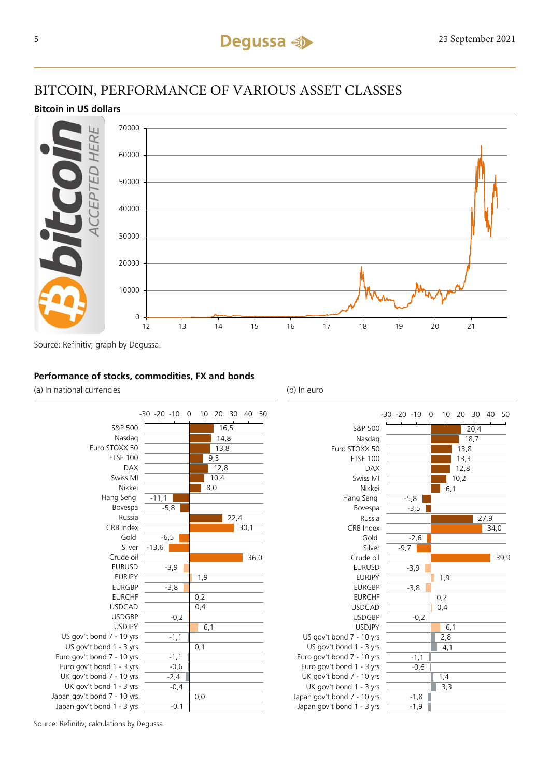## BITCOIN, PERFORMANCE OF VARIOUS ASSET CLASSES

## **Bitcoin in US dollars**



Source: Refinitiv; graph by Degussa.

## **Performance of stocks, commodities, FX and bonds**

(a) In national currencies (b) In euro





Source: Refinitiv; calculations by Degussa.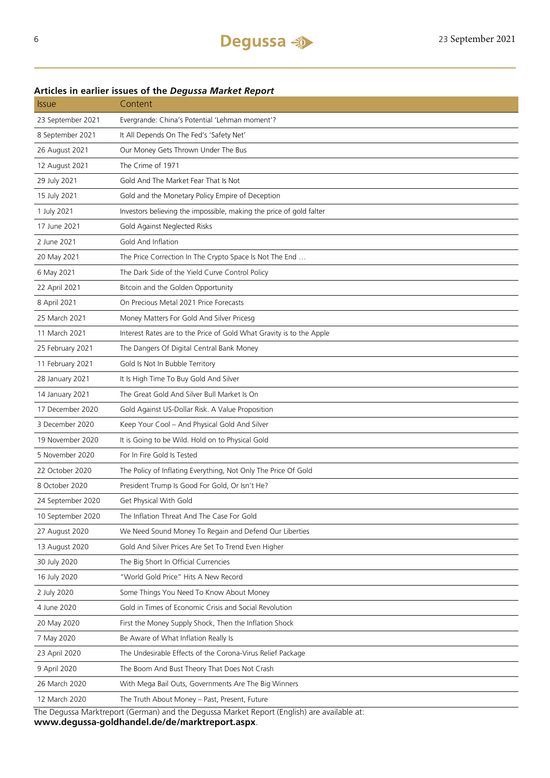| <b>Issue</b>                                                                               | Content                                                              |  |  |  |
|--------------------------------------------------------------------------------------------|----------------------------------------------------------------------|--|--|--|
| 23 September 2021                                                                          | Evergrande: China's Potential 'Lehman moment'?                       |  |  |  |
| 8 September 2021                                                                           | It All Depends On The Fed's 'Safety Net'                             |  |  |  |
| 26 August 2021                                                                             | Our Money Gets Thrown Under The Bus                                  |  |  |  |
| 12 August 2021                                                                             | The Crime of 1971                                                    |  |  |  |
| 29 July 2021                                                                               | Gold And The Market Fear That Is Not                                 |  |  |  |
| 15 July 2021                                                                               | Gold and the Monetary Policy Empire of Deception                     |  |  |  |
| 1 July 2021                                                                                | Investors believing the impossible, making the price of gold falter  |  |  |  |
| 17 June 2021                                                                               | Gold Against Neglected Risks                                         |  |  |  |
| 2 June 2021                                                                                | Gold And Inflation                                                   |  |  |  |
| 20 May 2021                                                                                | The Price Correction In The Crypto Space Is Not The End              |  |  |  |
| 6 May 2021                                                                                 | The Dark Side of the Yield Curve Control Policy                      |  |  |  |
| 22 April 2021                                                                              | Bitcoin and the Golden Opportunity                                   |  |  |  |
| 8 April 2021                                                                               | On Precious Metal 2021 Price Forecasts                               |  |  |  |
| 25 March 2021                                                                              | Money Matters For Gold And Silver Pricesg                            |  |  |  |
| 11 March 2021                                                                              | Interest Rates are to the Price of Gold What Gravity is to the Apple |  |  |  |
| 25 February 2021                                                                           | The Dangers Of Digital Central Bank Money                            |  |  |  |
| 11 February 2021                                                                           | Gold Is Not In Bubble Territory                                      |  |  |  |
| 28 January 2021                                                                            | It Is High Time To Buy Gold And Silver                               |  |  |  |
| 14 January 2021                                                                            | The Great Gold And Silver Bull Market Is On                          |  |  |  |
| 17 December 2020                                                                           | Gold Against US-Dollar Risk. A Value Proposition                     |  |  |  |
| 3 December 2020                                                                            | Keep Your Cool - And Physical Gold And Silver                        |  |  |  |
| 19 November 2020                                                                           | It is Going to be Wild. Hold on to Physical Gold                     |  |  |  |
| 5 November 2020                                                                            | For In Fire Gold Is Tested                                           |  |  |  |
| 22 October 2020                                                                            | The Policy of Inflating Everything, Not Only The Price Of Gold       |  |  |  |
| 8 October 2020                                                                             | President Trump Is Good For Gold, Or Isn't He?                       |  |  |  |
| 24 September 2020                                                                          | Get Physical With Gold                                               |  |  |  |
| 10 September 2020                                                                          | The Inflation Threat And The Case For Gold                           |  |  |  |
| 27 August 2020                                                                             | We Need Sound Money To Regain and Defend Our Liberties               |  |  |  |
| 13 August 2020                                                                             | Gold And Silver Prices Are Set To Trend Even Higher                  |  |  |  |
| 30 July 2020                                                                               | The Big Short In Official Currencies                                 |  |  |  |
| 16 July 2020                                                                               | "World Gold Price" Hits A New Record                                 |  |  |  |
| 2 July 2020                                                                                | Some Things You Need To Know About Money                             |  |  |  |
| 4 June 2020                                                                                | Gold in Times of Economic Crisis and Social Revolution               |  |  |  |
| 20 May 2020                                                                                | First the Money Supply Shock, Then the Inflation Shock               |  |  |  |
| 7 May 2020                                                                                 | Be Aware of What Inflation Really Is                                 |  |  |  |
| 23 April 2020                                                                              | The Undesirable Effects of the Corona-Virus Relief Package           |  |  |  |
| 9 April 2020                                                                               | The Boom And Bust Theory That Does Not Crash                         |  |  |  |
| 26 March 2020                                                                              | With Mega Bail Outs, Governments Are The Big Winners                 |  |  |  |
| 12 March 2020                                                                              | The Truth About Money - Past, Present, Future                        |  |  |  |
| The Degussa Marktreport (German) and the Degussa Market Report (English) are available at: |                                                                      |  |  |  |

## **Articles in earlier issues of the** *Degussa Market Report*

**www.degussa-goldhandel.de/de/marktreport.aspx**.